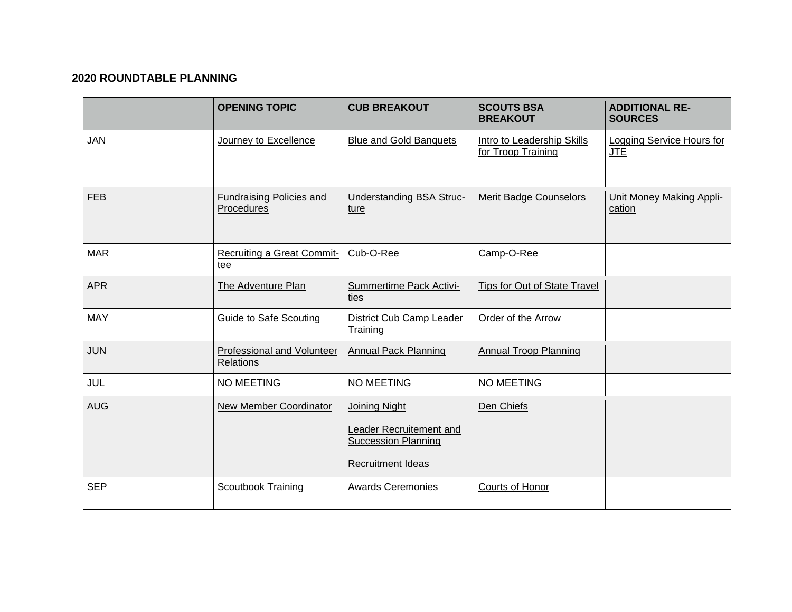## **2020 ROUNDTABLE PLANNING**

|            | <b>OPENING TOPIC</b>                          | <b>CUB BREAKOUT</b>                                                                                       | <b>SCOUTS BSA</b><br><b>BREAKOUT</b>             | <b>ADDITIONAL RE-</b><br><b>SOURCES</b> |
|------------|-----------------------------------------------|-----------------------------------------------------------------------------------------------------------|--------------------------------------------------|-----------------------------------------|
| <b>JAN</b> | Journey to Excellence                         | <b>Blue and Gold Banquets</b>                                                                             | Intro to Leadership Skills<br>for Troop Training | Logging Service Hours for<br><b>JTE</b> |
| <b>FEB</b> | <b>Fundraising Policies and</b><br>Procedures | <b>Understanding BSA Struc-</b><br>ture                                                                   | <b>Merit Badge Counselors</b>                    | Unit Money Making Appli-<br>cation      |
| <b>MAR</b> | <b>Recruiting a Great Commit-</b><br>tee      | Cub-O-Ree                                                                                                 | Camp-O-Ree                                       |                                         |
| <b>APR</b> | The Adventure Plan                            | Summertime Pack Activi-<br>ties                                                                           | Tips for Out of State Travel                     |                                         |
| <b>MAY</b> | <b>Guide to Safe Scouting</b>                 | District Cub Camp Leader<br>Training                                                                      | Order of the Arrow                               |                                         |
| <b>JUN</b> | Professional and Volunteer<br>Relations       | <b>Annual Pack Planning</b>                                                                               | <b>Annual Troop Planning</b>                     |                                         |
| JUL        | <b>NO MEETING</b>                             | <b>NO MEETING</b>                                                                                         | <b>NO MEETING</b>                                |                                         |
| <b>AUG</b> | <b>New Member Coordinator</b>                 | <b>Joining Night</b><br>Leader Recruitement and<br><b>Succession Planning</b><br><b>Recruitment Ideas</b> | Den Chiefs                                       |                                         |
| <b>SEP</b> | <b>Scoutbook Training</b>                     | <b>Awards Ceremonies</b>                                                                                  | Courts of Honor                                  |                                         |